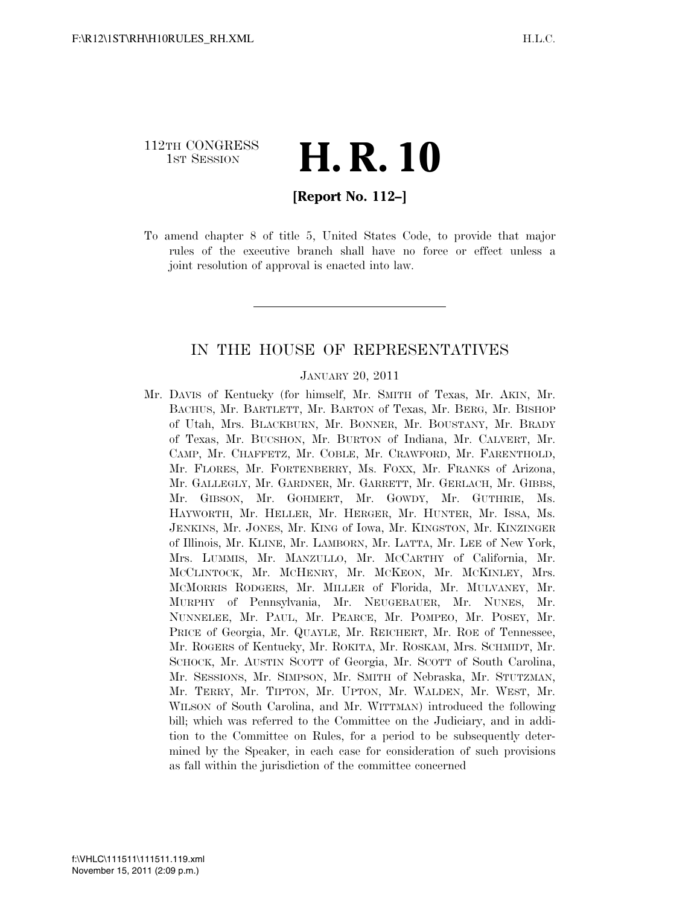## 112TH CONGRESS <sup>TH CONGRESS</sup> **H. R. 10**

#### **[Report No. 112–]**

To amend chapter 8 of title 5, United States Code, to provide that major rules of the executive branch shall have no force or effect unless a joint resolution of approval is enacted into law.

#### IN THE HOUSE OF REPRESENTATIVES

#### JANUARY 20, 2011

Mr. DAVIS of Kentucky (for himself, Mr. SMITH of Texas, Mr. AKIN, Mr. BACHUS, Mr. BARTLETT, Mr. BARTON of Texas, Mr. BERG, Mr. BISHOP of Utah, Mrs. BLACKBURN, Mr. BONNER, Mr. BOUSTANY, Mr. BRADY of Texas, Mr. BUCSHON, Mr. BURTON of Indiana, Mr. CALVERT, Mr. CAMP, Mr. CHAFFETZ, Mr. COBLE, Mr. CRAWFORD, Mr. FARENTHOLD, Mr. FLORES, Mr. FORTENBERRY, Ms. FOXX, Mr. FRANKS of Arizona, Mr. GALLEGLY, Mr. GARDNER, Mr. GARRETT, Mr. GERLACH, Mr. GIBBS, Mr. GIBSON, Mr. GOHMERT, Mr. GOWDY, Mr. GUTHRIE, Ms. HAYWORTH, Mr. HELLER, Mr. HERGER, Mr. HUNTER, Mr. ISSA, Ms. JENKINS, Mr. JONES, Mr. KING of Iowa, Mr. KINGSTON, Mr. KINZINGER of Illinois, Mr. KLINE, Mr. LAMBORN, Mr. LATTA, Mr. LEE of New York, Mrs. LUMMIS, Mr. MANZULLO, Mr. MCCARTHY of California, Mr. MCCLINTOCK, Mr. MCHENRY, Mr. MCKEON, Mr. MCKINLEY, Mrs. MCMORRIS RODGERS, Mr. MILLER of Florida, Mr. MULVANEY, Mr. MURPHY of Pennsylvania, Mr. NEUGEBAUER, Mr. NUNES, Mr. NUNNELEE, Mr. PAUL, Mr. PEARCE, Mr. POMPEO, Mr. POSEY, Mr. PRICE of Georgia, Mr. QUAYLE, Mr. REICHERT, Mr. ROE of Tennessee, Mr. ROGERS of Kentucky, Mr. ROKITA, Mr. ROSKAM, Mrs. SCHMIDT, Mr. SCHOCK, Mr. AUSTIN SCOTT of Georgia, Mr. SCOTT of South Carolina, Mr. SESSIONS, Mr. SIMPSON, Mr. SMITH of Nebraska, Mr. STUTZMAN, Mr. TERRY, Mr. TIPTON, Mr. UPTON, Mr. WALDEN, Mr. WEST, Mr. WILSON of South Carolina, and Mr. WITTMAN) introduced the following bill; which was referred to the Committee on the Judiciary, and in addition to the Committee on Rules, for a period to be subsequently determined by the Speaker, in each case for consideration of such provisions as fall within the jurisdiction of the committee concerned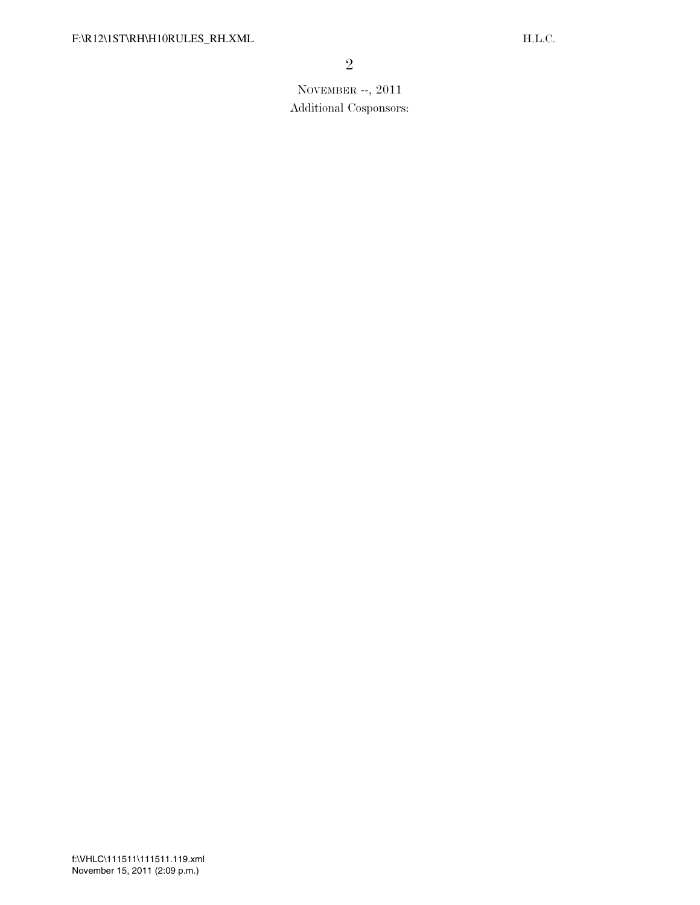## NOVEMBER --, 2011 Additional Cosponsors: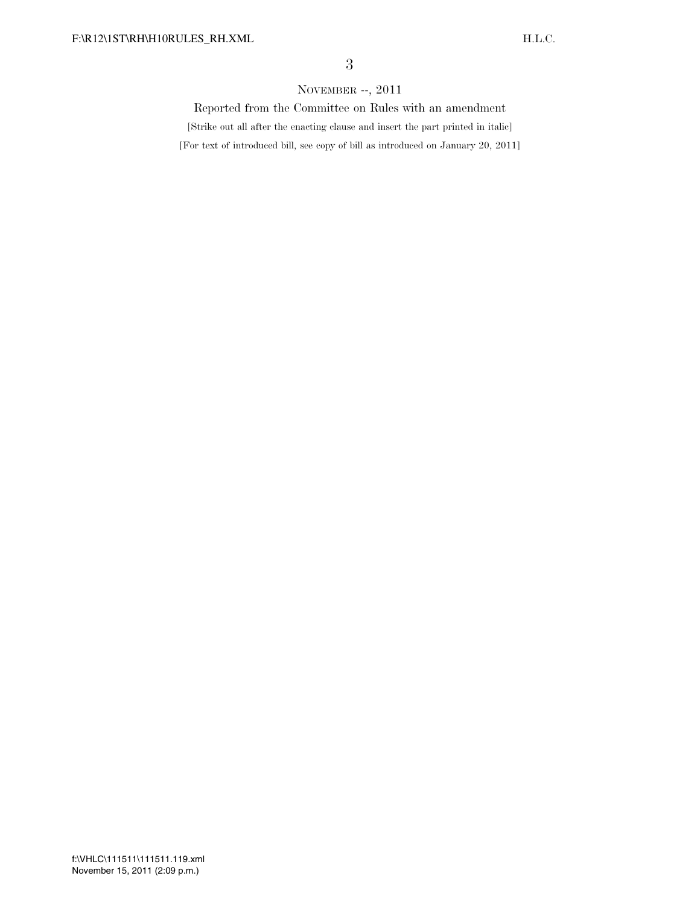#### NOVEMBER --, 2011

Reported from the Committee on Rules with an amendment

[Strike out all after the enacting clause and insert the part printed in italic]

[For text of introduced bill, see copy of bill as introduced on January 20, 2011]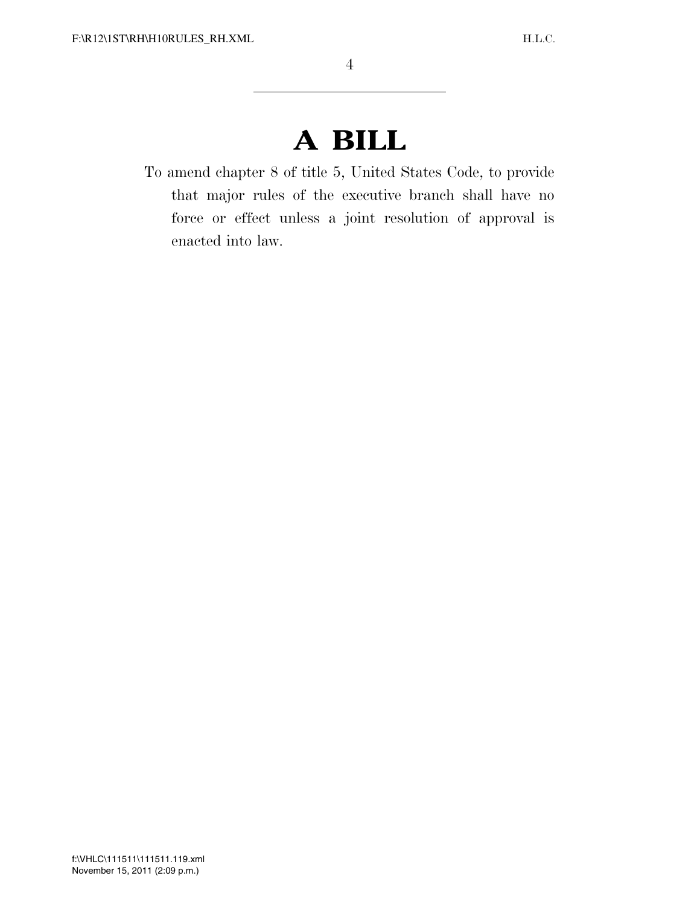# **A BILL**

To amend chapter 8 of title 5, United States Code, to provide that major rules of the executive branch shall have no force or effect unless a joint resolution of approval is enacted into law.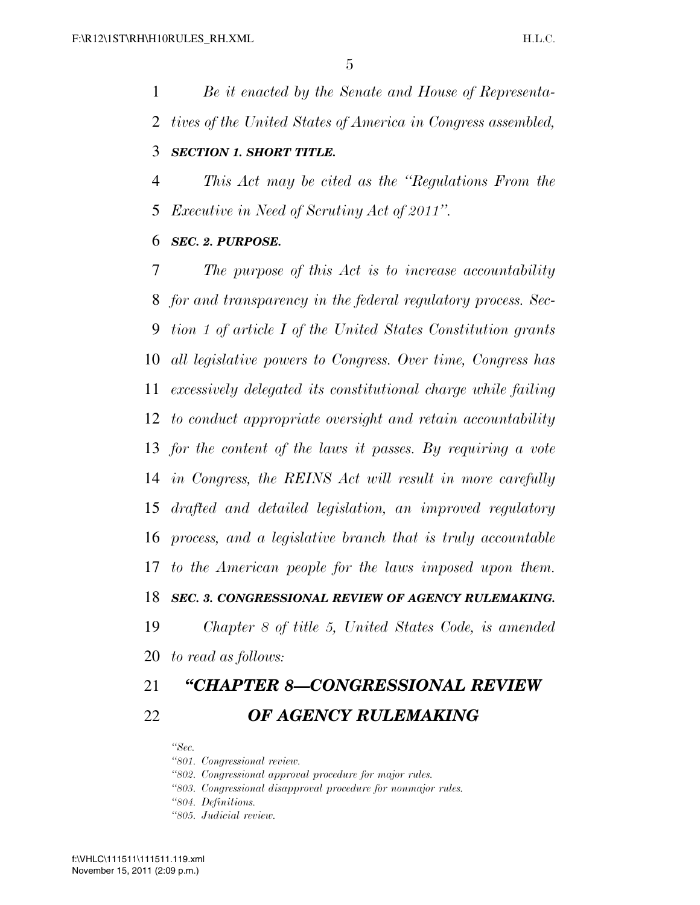*Be it enacted by the Senate and House of Representa- tives of the United States of America in Congress assembled, SECTION 1. SHORT TITLE.* 

 *This Act may be cited as the ''Regulations From the Executive in Need of Scrutiny Act of 2011''.* 

#### *SEC. 2. PURPOSE.*

 *The purpose of this Act is to increase accountability for and transparency in the federal regulatory process. Sec- tion 1 of article I of the United States Constitution grants all legislative powers to Congress. Over time, Congress has excessively delegated its constitutional charge while failing to conduct appropriate oversight and retain accountability for the content of the laws it passes. By requiring a vote in Congress, the REINS Act will result in more carefully drafted and detailed legislation, an improved regulatory process, and a legislative branch that is truly accountable to the American people for the laws imposed upon them. SEC. 3. CONGRESSIONAL REVIEW OF AGENCY RULEMAKING. Chapter 8 of title 5, United States Code, is amended* 

*to read as follows:* 

# *''CHAPTER 8—CONGRESSIONAL REVIEW OF AGENCY RULEMAKING*

*''Sec.* 

*''801. Congressional review.* 

*''802. Congressional approval procedure for major rules.* 

*''803. Congressional disapproval procedure for nonmajor rules.* 

*''804. Definitions.* 

*''805. Judicial review.*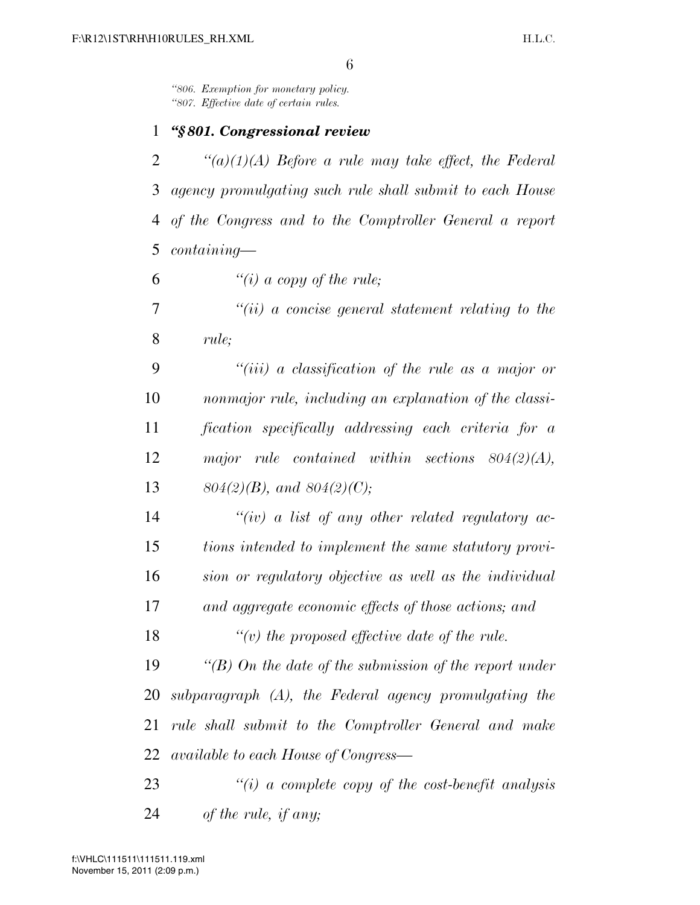*''806. Exemption for monetary policy. ''807. Effective date of certain rules.* 

#### *''§ 801. Congressional review*

 *''(a)(1)(A) Before a rule may take effect, the Federal agency promulgating such rule shall submit to each House of the Congress and to the Comptroller General a report containing—* 

*''(i) a copy of the rule;* 

 *''(ii) a concise general statement relating to the rule;* 

 *''(iii) a classification of the rule as a major or nonmajor rule, including an explanation of the classi- fication specifically addressing each criteria for a major rule contained within sections 804(2)(A), 804(2)(B), and 804(2)(C);* 

 *''(iv) a list of any other related regulatory ac- tions intended to implement the same statutory provi- sion or regulatory objective as well as the individual and aggregate economic effects of those actions; and* 

*''(v) the proposed effective date of the rule.* 

 *''(B) On the date of the submission of the report under subparagraph (A), the Federal agency promulgating the rule shall submit to the Comptroller General and make available to each House of Congress—* 

 *''(i) a complete copy of the cost-benefit analysis of the rule, if any;*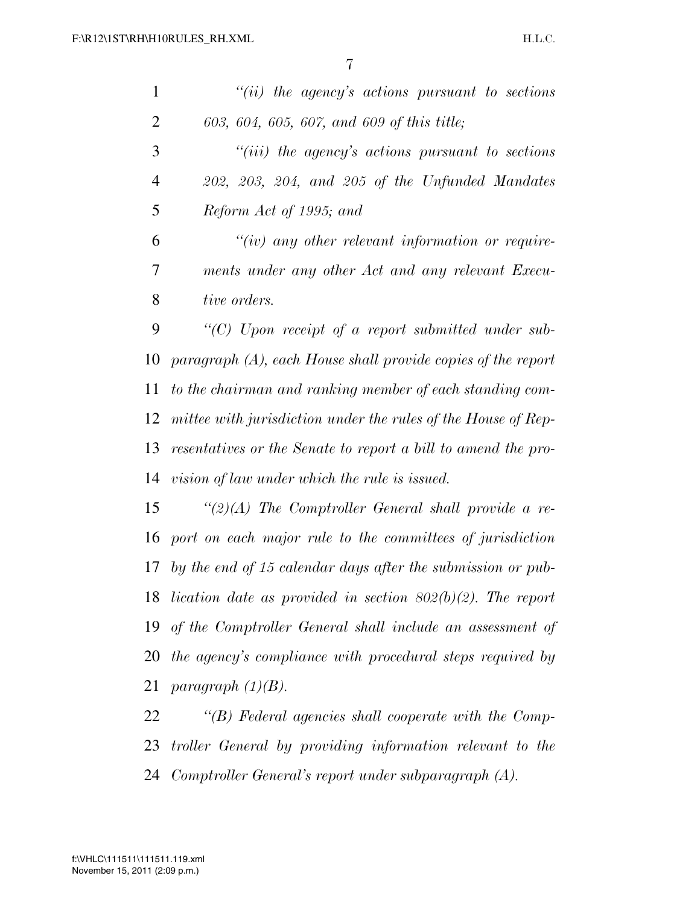| $\mathbf{1}$   | $``(ii)$ the agency's actions pursuant to sections            |
|----------------|---------------------------------------------------------------|
| $\overline{2}$ | 603, 604, 605, 607, and 609 of this title;                    |
| 3              | $``(iii)$ the agency's actions pursuant to sections           |
| $\overline{4}$ | $202, 203, 204,$ and $205$ of the Unfunded Mandates           |
| 5              | Reform Act of 1995; and                                       |
| 6              | $``(iv)$ any other relevant information or require-           |
| 7              | ments under any other Act and any relevant Execu-             |
| 8              | tive orders.                                                  |
| 9              | "(C) Upon receipt of a report submitted under sub-            |
| 10             | $paramph(A)$ , each House shall provide copies of the report  |
| 11             | to the chairman and ranking member of each standing com-      |
| 12             | mittee with jurisdiction under the rules of the House of Rep- |
| 13             | resentatives or the Senate to report a bill to amend the pro- |
| 14             | vision of law under which the rule is issued.                 |
| 15             | "(2)(A) The Comptroller General shall provide a re-           |
| 16             | port on each major rule to the committees of jurisdiction     |
| 17             | by the end of 15 calendar days after the submission or pub-   |
| 18             | lication date as provided in section $802(b)(2)$ . The report |
| 19             | of the Comptroller General shall include an assessment of     |
| 20             | the agency's compliance with procedural steps required by     |
| 21             | paragraph $(1)(B)$ .                                          |
| 22             | $\lq\lq(B)$ Federal agencies shall cooperate with the Comp-   |
| 23             | troller General by providing information relevant to the      |

*Comptroller General's report under subparagraph (A).*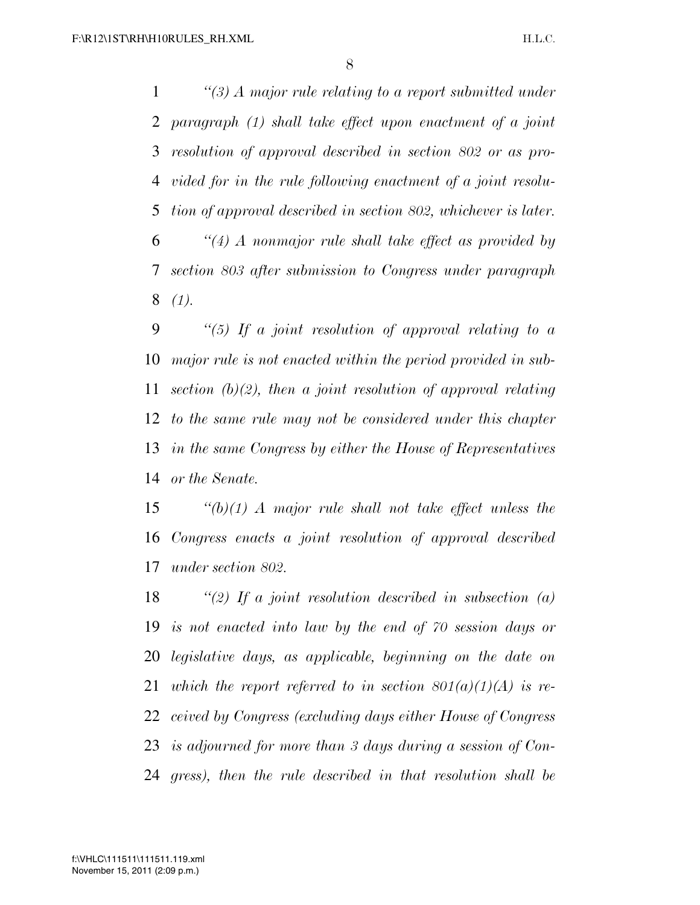*''(3) A major rule relating to a report submitted under paragraph (1) shall take effect upon enactment of a joint resolution of approval described in section 802 or as pro- vided for in the rule following enactment of a joint resolu- tion of approval described in section 802, whichever is later. ''(4) A nonmajor rule shall take effect as provided by section 803 after submission to Congress under paragraph (1).* 

 *''(5) If a joint resolution of approval relating to a major rule is not enacted within the period provided in sub- section (b)(2), then a joint resolution of approval relating to the same rule may not be considered under this chapter in the same Congress by either the House of Representatives or the Senate.* 

 *''(b)(1) A major rule shall not take effect unless the Congress enacts a joint resolution of approval described under section 802.* 

 *''(2) If a joint resolution described in subsection (a) is not enacted into law by the end of 70 session days or legislative days, as applicable, beginning on the date on which the report referred to in section 801(a)(1)(A) is re- ceived by Congress (excluding days either House of Congress is adjourned for more than 3 days during a session of Con-gress), then the rule described in that resolution shall be*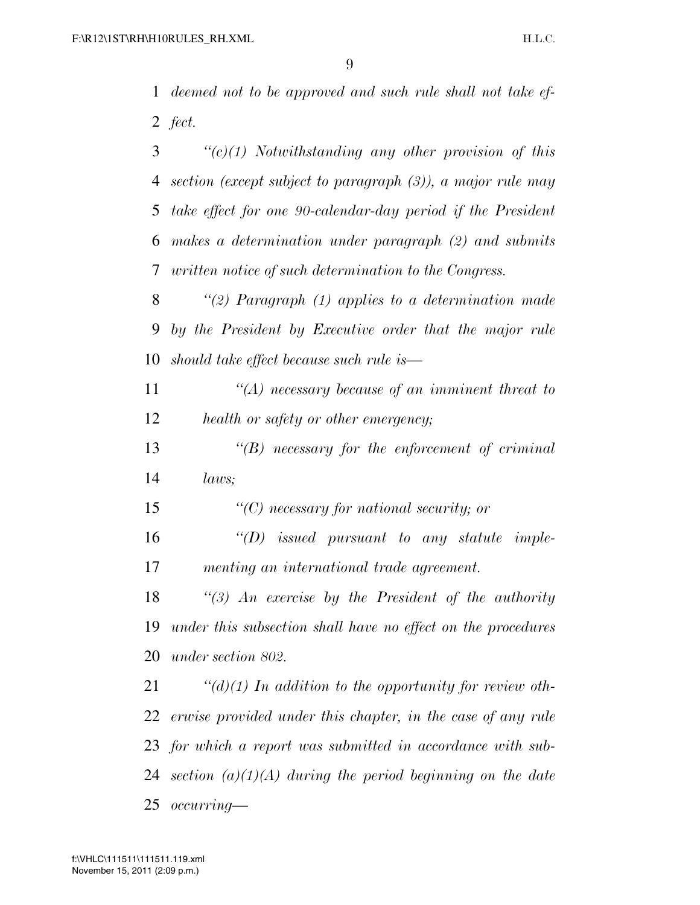*deemed not to be approved and such rule shall not take ef-fect.* 

 *''(c)(1) Notwithstanding any other provision of this section (except subject to paragraph (3)), a major rule may take effect for one 90-calendar-day period if the President makes a determination under paragraph (2) and submits written notice of such determination to the Congress.* 

 *''(2) Paragraph (1) applies to a determination made by the President by Executive order that the major rule should take effect because such rule is—* 

 *''(A) necessary because of an imminent threat to health or safety or other emergency;* 

 *''(B) necessary for the enforcement of criminal laws;* 

*''(C) necessary for national security; or* 

 *''(D) issued pursuant to any statute imple-menting an international trade agreement.* 

 *''(3) An exercise by the President of the authority under this subsection shall have no effect on the procedures under section 802.* 

 *''(d)(1) In addition to the opportunity for review oth- erwise provided under this chapter, in the case of any rule for which a report was submitted in accordance with sub- section (a)(1)(A) during the period beginning on the date occurring—*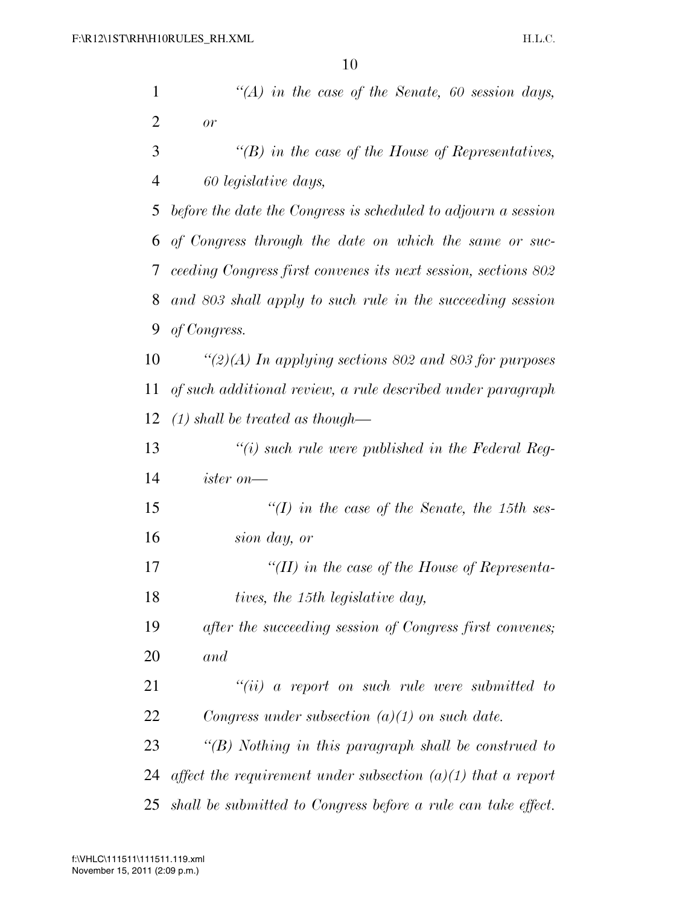| $\mathbf{1}$   | "(A) in the case of the Senate, 60 session days,               |
|----------------|----------------------------------------------------------------|
| $\overline{2}$ | or                                                             |
| 3              | "(B) in the case of the House of Representatives,              |
| $\overline{4}$ | 60 legislative days,                                           |
| 5              | before the date the Congress is scheduled to adjourn a session |
| 6              | of Congress through the date on which the same or suc-         |
| 7              | ceeding Congress first convenes its next session, sections 802 |
| 8              | and 803 shall apply to such rule in the succeeding session     |
| 9              | of Congress.                                                   |
| 10             | "(2)(A) In applying sections 802 and 803 for purposes          |
| 11             | of such additional review, a rule described under paragraph    |
| 12             | $(1)$ shall be treated as though—                              |
| 13             | $\lq\lq(i)$ such rule were published in the Federal Reg-       |
| 14             | $ister\ on$ —                                                  |
| 15             | "(I) in the case of the Senate, the 15th ses-                  |
| 16             | sion day, or                                                   |
| 17             | "(II) in the case of the House of Representa-                  |
| 18             | tives, the 15th legislative day,                               |
| 19             | after the succeeding session of Congress first convenes;       |
| 20             | and                                                            |
| 21             | $``(ii)$ a report on such rule were submitted to               |
| 22             | Congress under subsection $(a)(1)$ on such date.               |
| 23             | " $(B)$ Nothing in this paragraph shall be construed to        |
| 24             | affect the requirement under subsection $(a)(1)$ that a report |
| 25             | shall be submitted to Congress before a rule can take effect.  |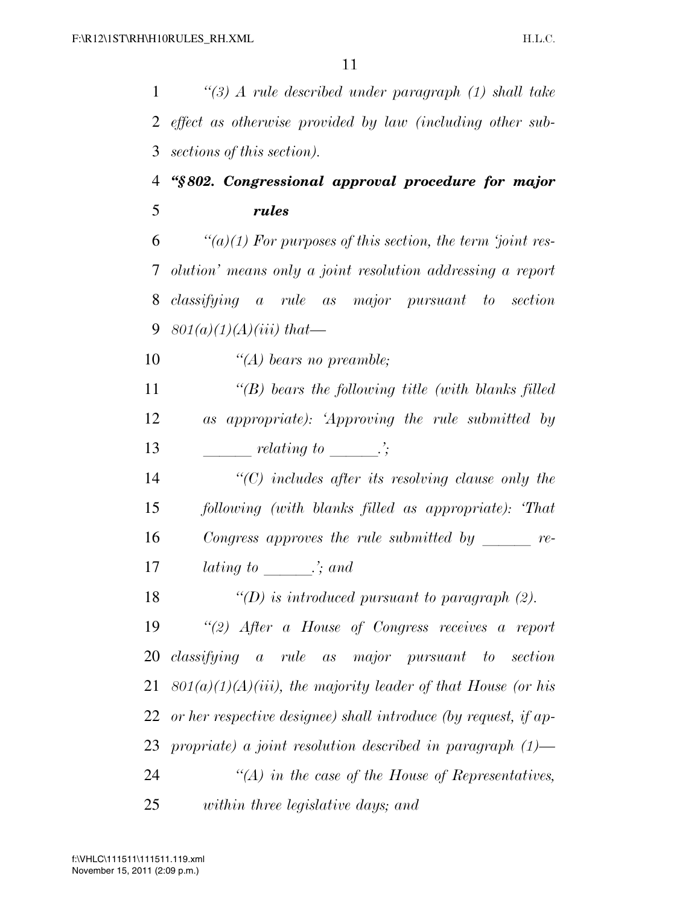*''(3) A rule described under paragraph (1) shall take effect as otherwise provided by law (including other sub-sections of this section).* 

# *''§ 802. Congressional approval procedure for major rules*

 *''(a)(1) For purposes of this section, the term 'joint res- olution' means only a joint resolution addressing a report classifying a rule as major pursuant to section 801(a)(1)(A)(iii) that—* 

*''(A) bears no preamble;* 

 *''(B) bears the following title (with blanks filled as appropriate): 'Approving the rule submitted by*  13 *relating to*  $\therefore$ 

 *''(C) includes after its resolving clause only the following (with blanks filled as appropriate): 'That Congress approves the rule submitted by re-lating to*  $\therefore$  *and* 

*''(D) is introduced pursuant to paragraph (2).* 

 *''(2) After a House of Congress receives a report classifying a rule as major pursuant to section 801(a)(1)(A)(iii), the majority leader of that House (or his or her respective designee) shall introduce (by request, if ap- propriate) a joint resolution described in paragraph (1)— ''(A) in the case of the House of Representatives, within three legislative days; and*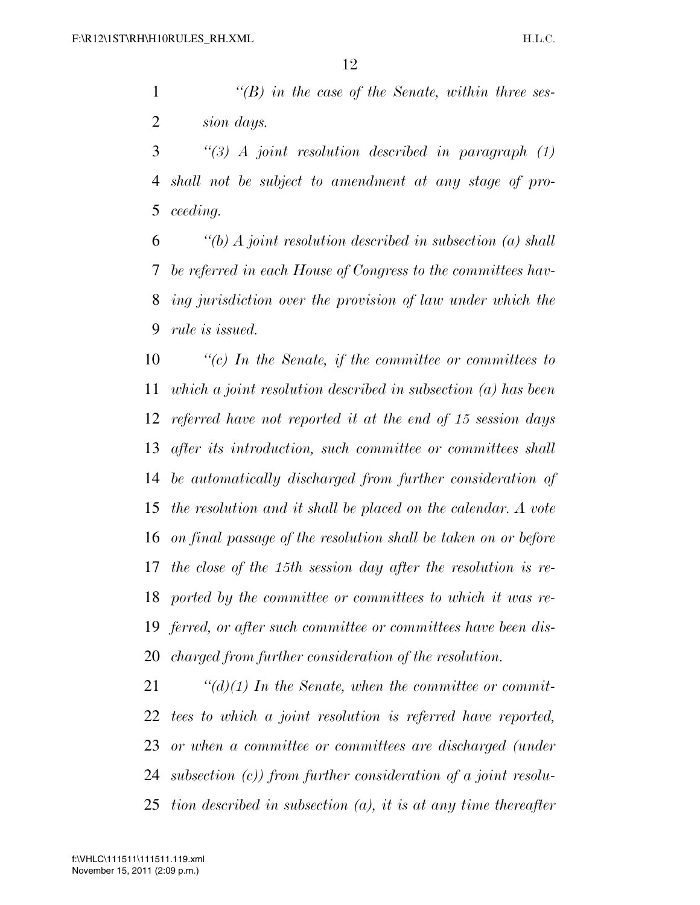*''(B) in the case of the Senate, within three ses-sion days.* 

 *''(3) A joint resolution described in paragraph (1) shall not be subject to amendment at any stage of pro-ceeding.* 

 *''(b) A joint resolution described in subsection (a) shall be referred in each House of Congress to the committees hav- ing jurisdiction over the provision of law under which the rule is issued.* 

 *''(c) In the Senate, if the committee or committees to which a joint resolution described in subsection (a) has been referred have not reported it at the end of 15 session days after its introduction, such committee or committees shall be automatically discharged from further consideration of the resolution and it shall be placed on the calendar. A vote on final passage of the resolution shall be taken on or before the close of the 15th session day after the resolution is re- ported by the committee or committees to which it was re- ferred, or after such committee or committees have been dis-charged from further consideration of the resolution.* 

 *''(d)(1) In the Senate, when the committee or commit- tees to which a joint resolution is referred have reported, or when a committee or committees are discharged (under subsection (c)) from further consideration of a joint resolu-tion described in subsection (a), it is at any time thereafter*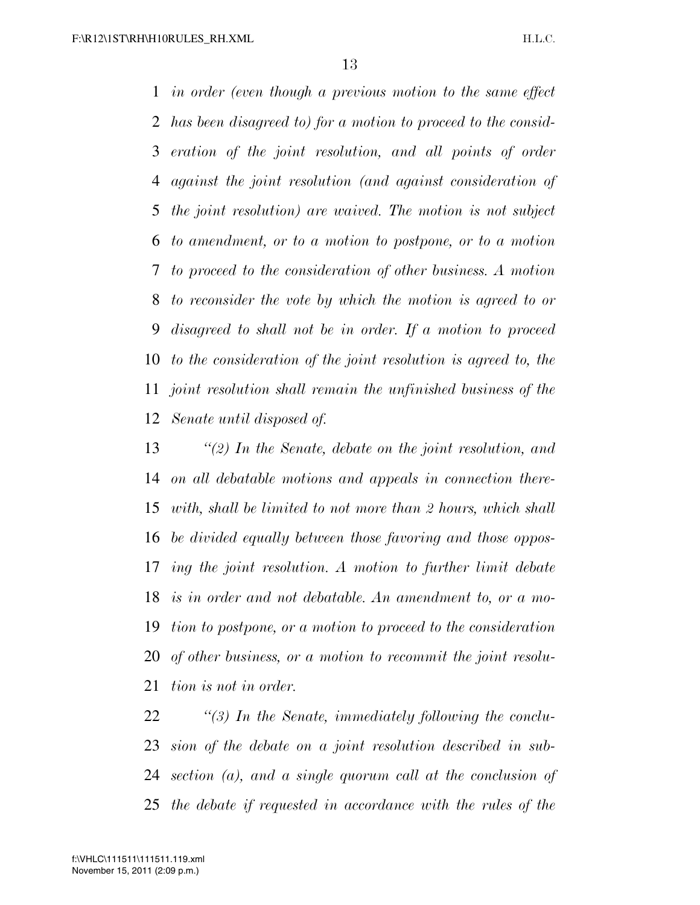*in order (even though a previous motion to the same effect has been disagreed to) for a motion to proceed to the consid- eration of the joint resolution, and all points of order against the joint resolution (and against consideration of the joint resolution) are waived. The motion is not subject to amendment, or to a motion to postpone, or to a motion to proceed to the consideration of other business. A motion to reconsider the vote by which the motion is agreed to or disagreed to shall not be in order. If a motion to proceed to the consideration of the joint resolution is agreed to, the joint resolution shall remain the unfinished business of the Senate until disposed of.* 

 *''(2) In the Senate, debate on the joint resolution, and on all debatable motions and appeals in connection there- with, shall be limited to not more than 2 hours, which shall be divided equally between those favoring and those oppos- ing the joint resolution. A motion to further limit debate is in order and not debatable. An amendment to, or a mo- tion to postpone, or a motion to proceed to the consideration of other business, or a motion to recommit the joint resolu-tion is not in order.* 

 *''(3) In the Senate, immediately following the conclu- sion of the debate on a joint resolution described in sub- section (a), and a single quorum call at the conclusion of the debate if requested in accordance with the rules of the*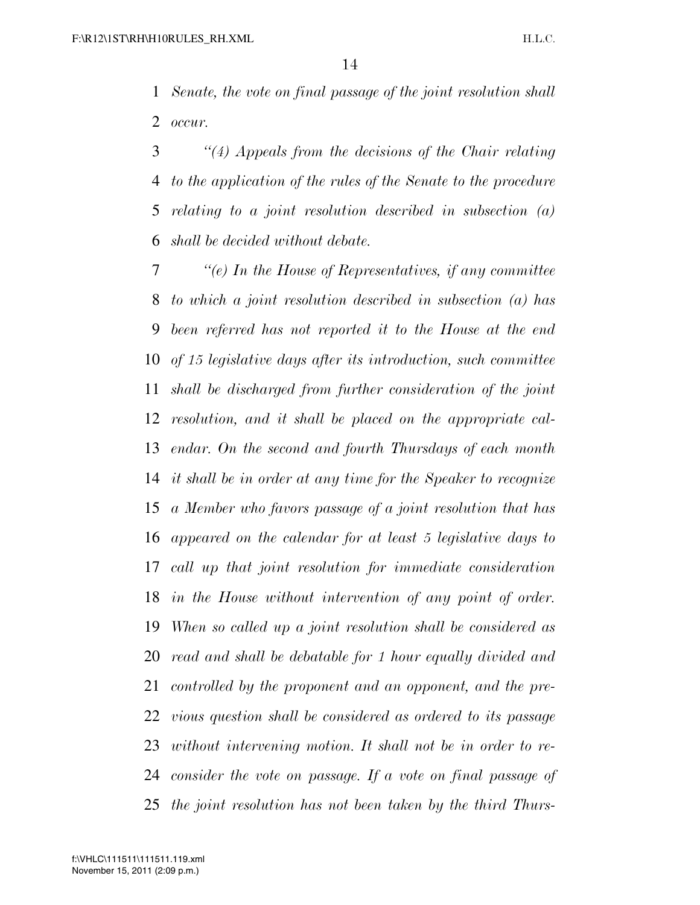*Senate, the vote on final passage of the joint resolution shall occur.* 

 *''(4) Appeals from the decisions of the Chair relating to the application of the rules of the Senate to the procedure relating to a joint resolution described in subsection (a) shall be decided without debate.* 

 *''(e) In the House of Representatives, if any committee to which a joint resolution described in subsection (a) has been referred has not reported it to the House at the end of 15 legislative days after its introduction, such committee shall be discharged from further consideration of the joint resolution, and it shall be placed on the appropriate cal- endar. On the second and fourth Thursdays of each month it shall be in order at any time for the Speaker to recognize a Member who favors passage of a joint resolution that has appeared on the calendar for at least 5 legislative days to call up that joint resolution for immediate consideration in the House without intervention of any point of order. When so called up a joint resolution shall be considered as read and shall be debatable for 1 hour equally divided and controlled by the proponent and an opponent, and the pre- vious question shall be considered as ordered to its passage without intervening motion. It shall not be in order to re- consider the vote on passage. If a vote on final passage of the joint resolution has not been taken by the third Thurs-*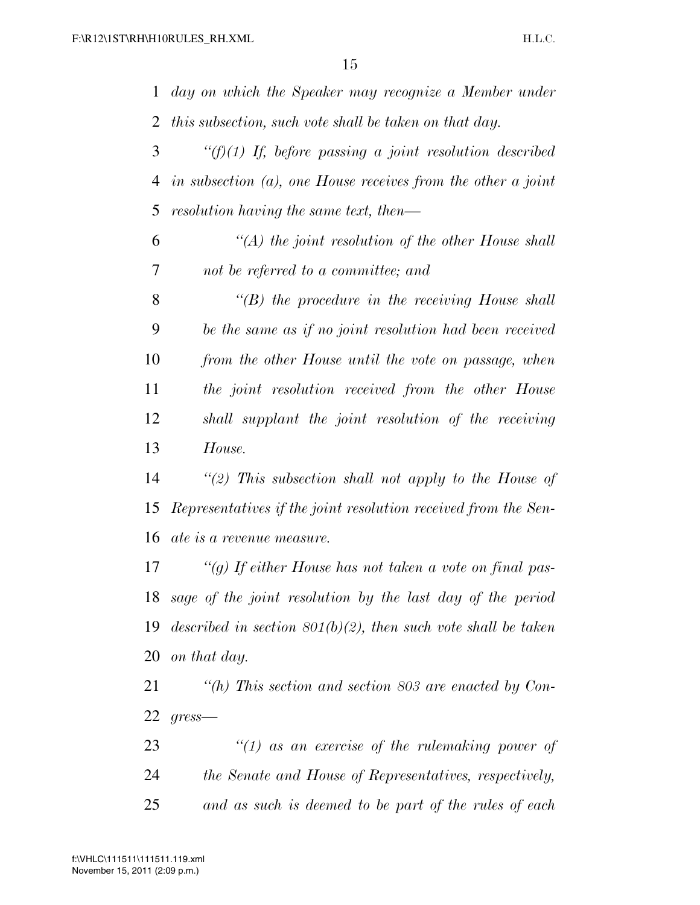*day on which the Speaker may recognize a Member under this subsection, such vote shall be taken on that day.* 

 *''(f)(1) If, before passing a joint resolution described in subsection (a), one House receives from the other a joint resolution having the same text, then—* 

 *''(A) the joint resolution of the other House shall not be referred to a committee; and* 

 *''(B) the procedure in the receiving House shall be the same as if no joint resolution had been received from the other House until the vote on passage, when the joint resolution received from the other House shall supplant the joint resolution of the receiving House.* 

 *''(2) This subsection shall not apply to the House of Representatives if the joint resolution received from the Sen-ate is a revenue measure.* 

 *''(g) If either House has not taken a vote on final pas- sage of the joint resolution by the last day of the period described in section 801(b)(2), then such vote shall be taken on that day.* 

 *''(h) This section and section 803 are enacted by Con-gress—* 

 *''(1) as an exercise of the rulemaking power of the Senate and House of Representatives, respectively, and as such is deemed to be part of the rules of each*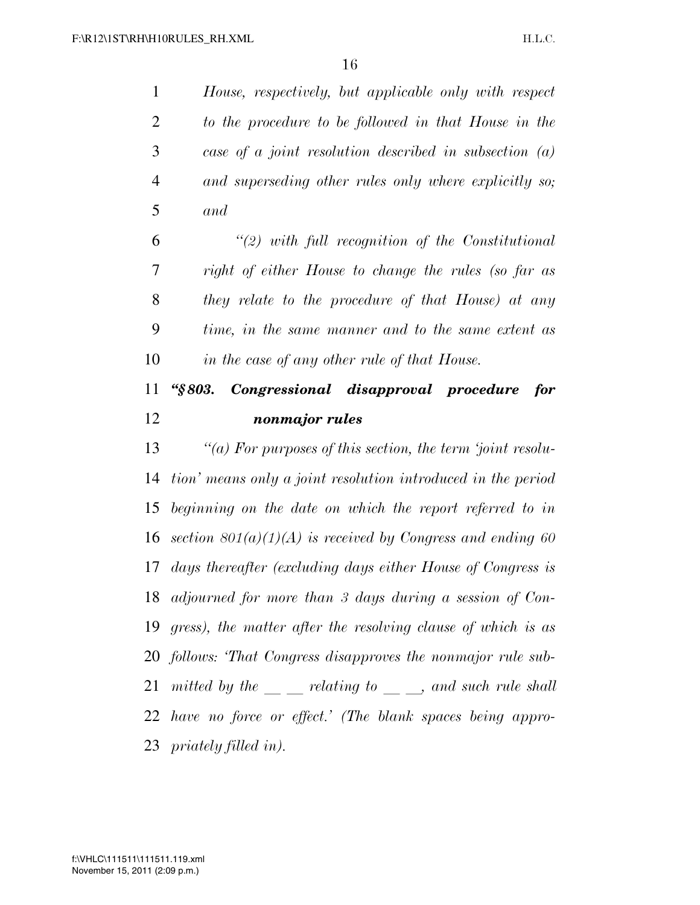*House, respectively, but applicable only with respect to the procedure to be followed in that House in the case of a joint resolution described in subsection (a) and superseding other rules only where explicitly so; and ''(2) with full recognition of the Constitutional right of either House to change the rules (so far as they relate to the procedure of that House) at any time, in the same manner and to the same extent as in the case of any other rule of that House. ''§ 803. Congressional disapproval procedure for nonmajor rules ''(a) For purposes of this section, the term 'joint resolu- tion' means only a joint resolution introduced in the period beginning on the date on which the report referred to in section 801(a)(1)(A) is received by Congress and ending 60 days thereafter (excluding days either House of Congress is adjourned for more than 3 days during a session of Con- gress), the matter after the resolving clause of which is as follows: 'That Congress disapproves the nonmajor rule sub-mitted by the <u><i>relating to*</u> \_, and such rule shall *have no force or effect.' (The blank spaces being appro-*

*priately filled in).*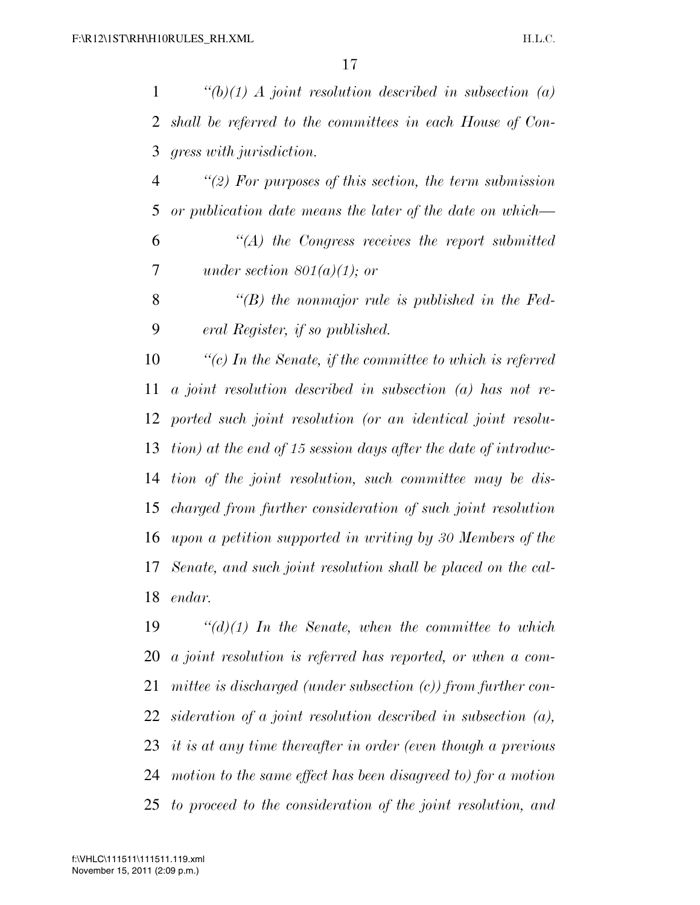*''(b)(1) A joint resolution described in subsection (a) shall be referred to the committees in each House of Con-gress with jurisdiction.* 

 *''(2) For purposes of this section, the term submission or publication date means the later of the date on which— ''(A) the Congress receives the report submitted under section 801(a)(1); or* 

 *''(B) the nonmajor rule is published in the Fed-eral Register, if so published.* 

 *''(c) In the Senate, if the committee to which is referred a joint resolution described in subsection (a) has not re- ported such joint resolution (or an identical joint resolu- tion) at the end of 15 session days after the date of introduc- tion of the joint resolution, such committee may be dis- charged from further consideration of such joint resolution upon a petition supported in writing by 30 Members of the Senate, and such joint resolution shall be placed on the cal-endar.* 

 *''(d)(1) In the Senate, when the committee to which a joint resolution is referred has reported, or when a com- mittee is discharged (under subsection (c)) from further con- sideration of a joint resolution described in subsection (a), it is at any time thereafter in order (even though a previous motion to the same effect has been disagreed to) for a motion to proceed to the consideration of the joint resolution, and*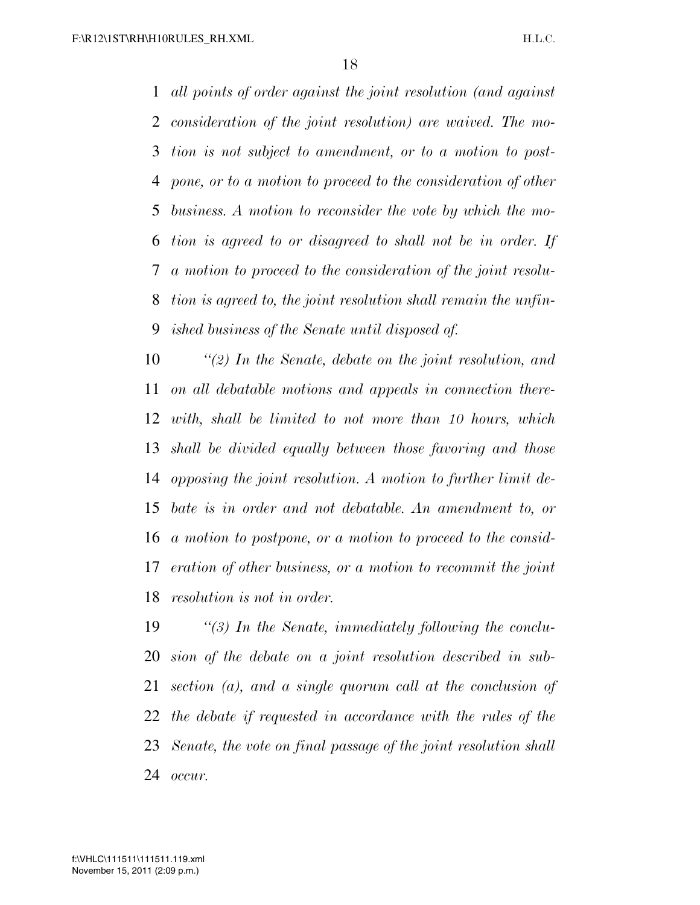*all points of order against the joint resolution (and against consideration of the joint resolution) are waived. The mo- tion is not subject to amendment, or to a motion to post- pone, or to a motion to proceed to the consideration of other business. A motion to reconsider the vote by which the mo- tion is agreed to or disagreed to shall not be in order. If a motion to proceed to the consideration of the joint resolu- tion is agreed to, the joint resolution shall remain the unfin-ished business of the Senate until disposed of.* 

 *''(2) In the Senate, debate on the joint resolution, and on all debatable motions and appeals in connection there- with, shall be limited to not more than 10 hours, which shall be divided equally between those favoring and those opposing the joint resolution. A motion to further limit de- bate is in order and not debatable. An amendment to, or a motion to postpone, or a motion to proceed to the consid- eration of other business, or a motion to recommit the joint resolution is not in order.* 

 *''(3) In the Senate, immediately following the conclu- sion of the debate on a joint resolution described in sub- section (a), and a single quorum call at the conclusion of the debate if requested in accordance with the rules of the Senate, the vote on final passage of the joint resolution shall occur.*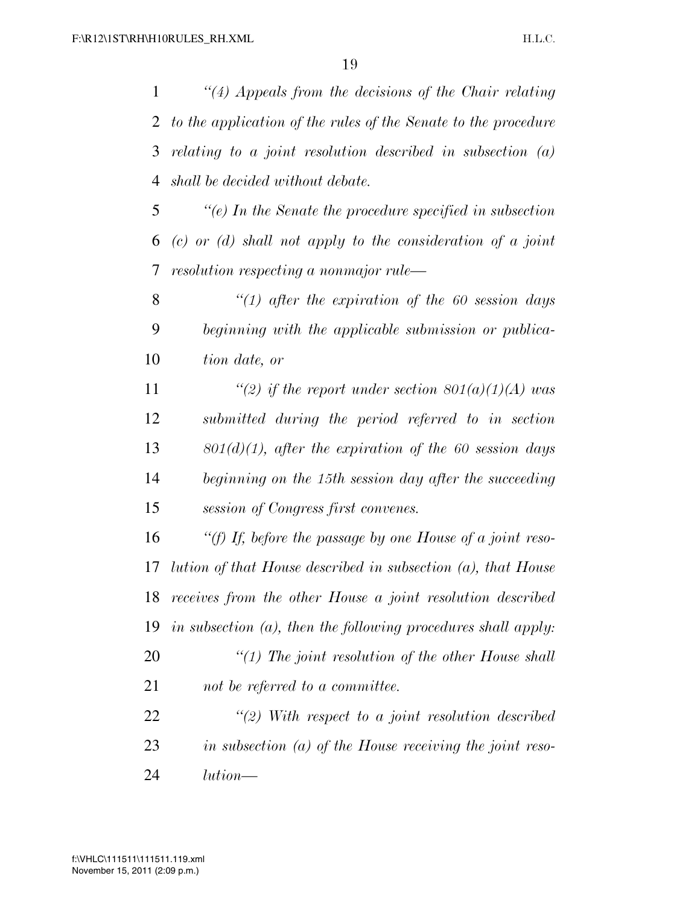*''(4) Appeals from the decisions of the Chair relating to the application of the rules of the Senate to the procedure relating to a joint resolution described in subsection (a) shall be decided without debate.* 

 *''(e) In the Senate the procedure specified in subsection (c) or (d) shall not apply to the consideration of a joint resolution respecting a nonmajor rule—* 

 *''(1) after the expiration of the 60 session days beginning with the applicable submission or publica-tion date, or* 

 *''(2) if the report under section 801(a)(1)(A) was submitted during the period referred to in section 801(d)(1), after the expiration of the 60 session days beginning on the 15th session day after the succeeding session of Congress first convenes.* 

 *''(f) If, before the passage by one House of a joint reso- lution of that House described in subsection (a), that House receives from the other House a joint resolution described in subsection (a), then the following procedures shall apply: ''(1) The joint resolution of the other House shall not be referred to a committee.* 

 *''(2) With respect to a joint resolution described in subsection (a) of the House receiving the joint reso-lution—*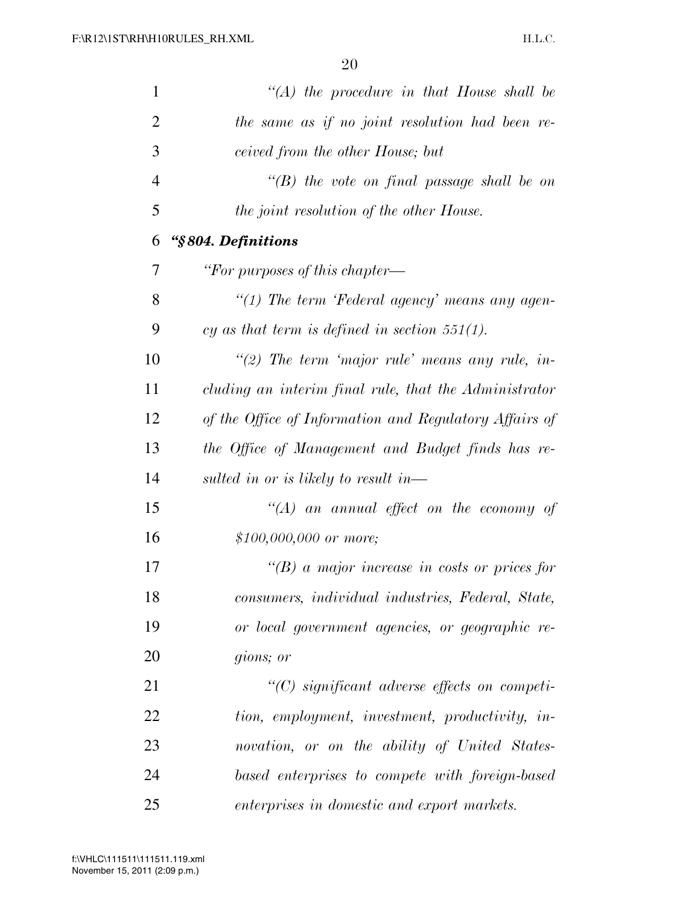| 1              | "(A) the procedure in that House shall be              |
|----------------|--------------------------------------------------------|
| $\overline{2}$ | the same as if no joint resolution had been re-        |
| 3              | ceived from the other House; but                       |
| $\overline{4}$ | "(B) the vote on final passage shall be on             |
| 5              | the joint resolution of the other House.               |
| 6              | "§804. Definitions                                     |
| 7              | "For purposes of this chapter—                         |
| 8              | "(1) The term 'Federal agency' means any agen-         |
| 9              | cy as that term is defined in section $551(1)$ .       |
| 10             | "(2) The term 'major rule' means any rule, in-         |
| 11             | cluding an interim final rule, that the Administrator  |
| 12             | of the Office of Information and Regulatory Affairs of |
| 13             | the Office of Management and Budget finds has re-      |
| 14             | sulted in or is likely to result in—                   |
| 15             | $\lq (A)$ an annual effect on the economy of           |
| 16             | $$100,000,000$ or more;                                |
| 17             | "(B) a major increase in costs or prices for           |
| 18             | consumers, individual industries, Federal, State,      |
| 19             | or local government agencies, or geographic re-        |
| 20             | gions; or                                              |
| 21             | $\lq\lq C$ significant adverse effects on competi-     |
| 22             | tion, employment, investment, productivity, in-        |
| 23             | novation, or on the ability of United States-          |
| 24             | based enterprises to compete with foreign-based        |
| 25             | enterprises in domestic and export markets.            |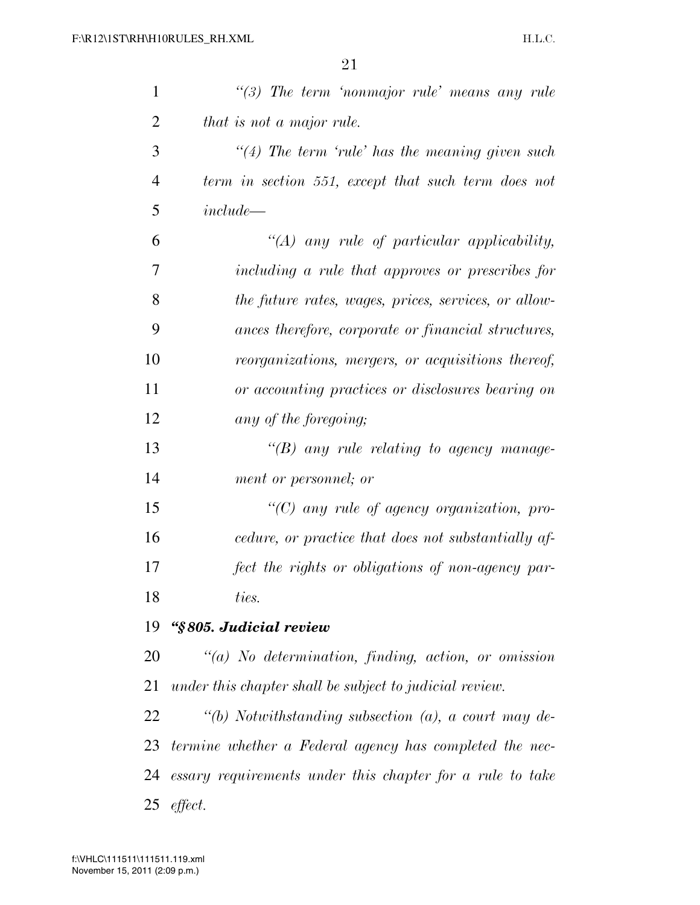| 1              | $\lq(3)$ The term 'nonmajor rule' means any rule          |
|----------------|-----------------------------------------------------------|
| $\overline{2}$ | that is not a major rule.                                 |
| 3              | $\lq(4)$ The term 'rule' has the meaning given such       |
| $\overline{4}$ | term in section 551, except that such term does not       |
| 5              | $include -$                                               |
| 6              | "(A) any rule of particular applicability,                |
| 7              | including a rule that approves or prescribes for          |
| 8              | the future rates, wages, prices, services, or allow-      |
| 9              | ances therefore, corporate or financial structures,       |
| 10             | reorganizations, mergers, or acquisitions thereof,        |
| 11             | or accounting practices or disclosures bearing on         |
| 12             | any of the foregoing;                                     |
| 13             | $\lq\lq(B)$ any rule relating to agency manage-           |
| 14             | ment or personnel; or                                     |
| 15             | "(C) any rule of agency organization, pro-                |
| 16             | cedure, or practice that does not substantially af-       |
| 17             | fect the rights or obligations of non-agency par-         |
| 18             | ties.                                                     |
| 19             | "§805. Judicial review                                    |
| 20             | $\lq(a)$ No determination, finding, action, or omission   |
| 21             | under this chapter shall be subject to judicial review.   |
| 22             | "(b) Notwithstanding subsection (a), a court may de-      |
| 23             | termine whether a Federal agency has completed the nec-   |
| 24             | essary requirements under this chapter for a rule to take |
| 25             | effect.                                                   |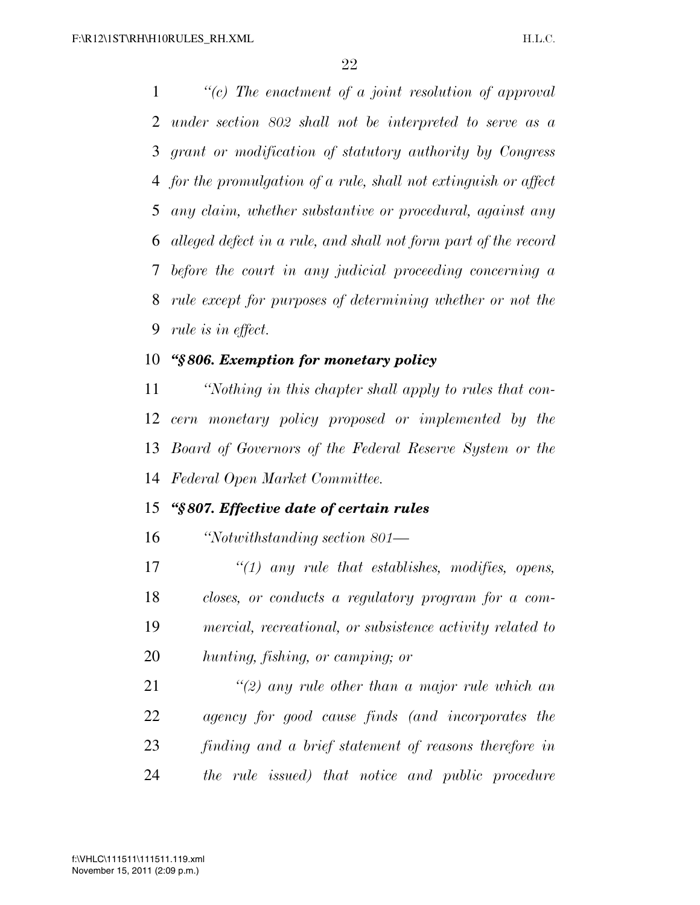*''(c) The enactment of a joint resolution of approval under section 802 shall not be interpreted to serve as a grant or modification of statutory authority by Congress for the promulgation of a rule, shall not extinguish or affect any claim, whether substantive or procedural, against any alleged defect in a rule, and shall not form part of the record before the court in any judicial proceeding concerning a rule except for purposes of determining whether or not the rule is in effect.* 

#### *''§ 806. Exemption for monetary policy*

 *''Nothing in this chapter shall apply to rules that con- cern monetary policy proposed or implemented by the Board of Governors of the Federal Reserve System or the Federal Open Market Committee.* 

### *''§ 807. Effective date of certain rules*

*''Notwithstanding section 801—* 

 *''(1) any rule that establishes, modifies, opens, closes, or conducts a regulatory program for a com- mercial, recreational, or subsistence activity related to hunting, fishing, or camping; or* 

 *''(2) any rule other than a major rule which an agency for good cause finds (and incorporates the finding and a brief statement of reasons therefore in the rule issued) that notice and public procedure*